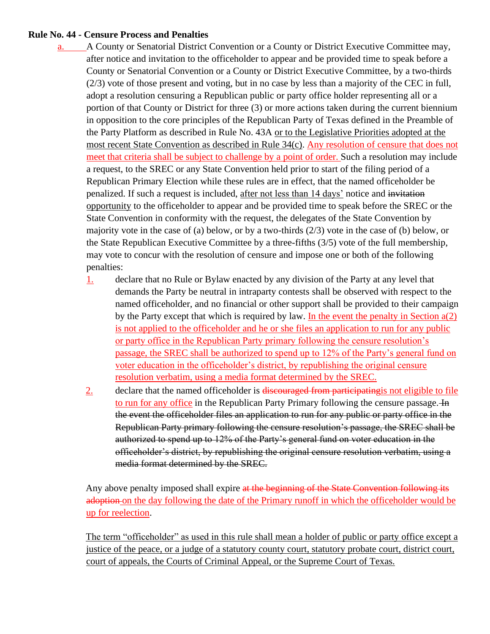## **Rule No. 44 - Censure Process and Penalties**

- a. A County or Senatorial District Convention or a County or District Executive Committee may, after notice and invitation to the officeholder to appear and be provided time to speak before a County or Senatorial Convention or a County or District Executive Committee, by a two-thirds (2/3) vote of those present and voting, but in no case by less than a majority of the CEC in full, adopt a resolution censuring a Republican public or party office holder representing all or a portion of that County or District for three (3) or more actions taken during the current biennium in opposition to the core principles of the Republican Party of Texas defined in the Preamble of the Party Platform as described in Rule No. 43A or to the Legislative Priorities adopted at the most recent State Convention as described in Rule 34(c). Any resolution of censure that does not meet that criteria shall be subject to challenge by a point of order. Such a resolution may include a request, to the SREC or any State Convention held prior to start of the filing period of a Republican Primary Election while these rules are in effect, that the named officeholder be penalized. If such a request is included, after not less than 14 days' notice and invitation opportunity to the officeholder to appear and be provided time to speak before the SREC or the State Convention in conformity with the request, the delegates of the State Convention by majority vote in the case of (a) below, or by a two-thirds (2/3) vote in the case of (b) below, or the State Republican Executive Committee by a three-fifths (3/5) vote of the full membership, may vote to concur with the resolution of censure and impose one or both of the following penalties:
	- 1. declare that no Rule or Bylaw enacted by any division of the Party at any level that demands the Party be neutral in intraparty contests shall be observed with respect to the named officeholder, and no financial or other support shall be provided to their campaign by the Party except that which is required by law. In the event the penalty in Section  $a(2)$ is not applied to the officeholder and he or she files an application to run for any public or party office in the Republican Party primary following the censure resolution's passage, the SREC shall be authorized to spend up to 12% of the Party's general fund on voter education in the officeholder's district, by republishing the original censure resolution verbatim, using a media format determined by the SREC.
	- 2. declare that the named officeholder is discouraged from participating is not eligible to file to run for any office in the Republican Party Primary following the censure passage. The the event the officeholder files an application to run for any public or party office in the Republican Party primary following the censure resolution's passage, the SREC shall be authorized to spend up to 12% of the Party's general fund on voter education in the officeholder's district, by republishing the original censure resolution verbatim, using a media format determined by the SREC.

Any above penalty imposed shall expire at the beginning of the State Convention following its adoption on the day following the date of the Primary runoff in which the officeholder would be up for reelection.

The term "officeholder" as used in this rule shall mean a holder of public or party office except a justice of the peace, or a judge of a statutory county court, statutory probate court, district court, court of appeals, the Courts of Criminal Appeal, or the Supreme Court of Texas.